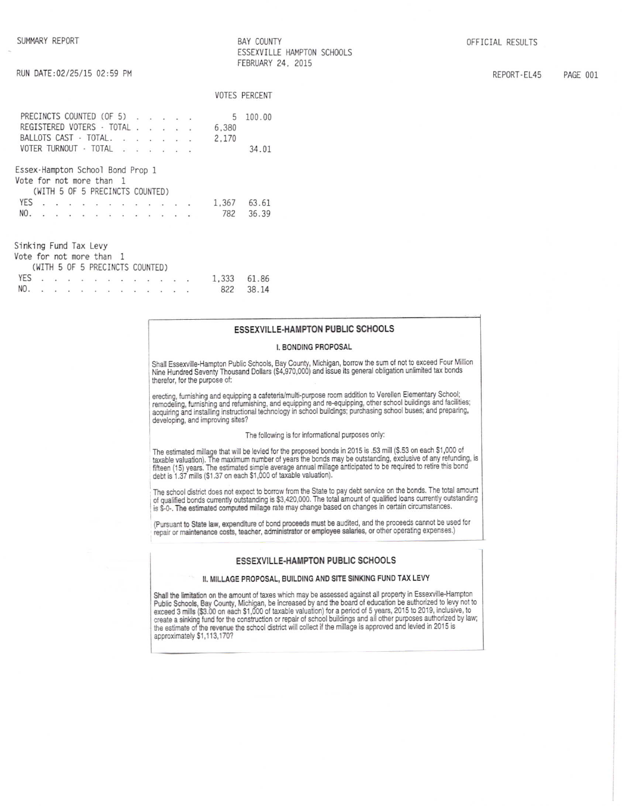**BAY COUNTY** ESSEXVILLE HAMPTON SCHOOLS FEBRUARY 24, 2015

|                                                              |  |  |  |                                                                                                                                                                                                                               |                                                                                                                                    |  |       | <b>VOTES PERCENT</b> |
|--------------------------------------------------------------|--|--|--|-------------------------------------------------------------------------------------------------------------------------------------------------------------------------------------------------------------------------------|------------------------------------------------------------------------------------------------------------------------------------|--|-------|----------------------|
| PRECINCTS COUNTED (OF 5)                                     |  |  |  |                                                                                                                                                                                                                               |                                                                                                                                    |  | 5     | 100.00               |
| REGISTERED VOTERS - TOTAL .                                  |  |  |  |                                                                                                                                                                                                                               | $\label{eq:2.1} \begin{array}{cccccccccc} \mathbf{a} & \mathbf{b} & \mathbf{c} & \mathbf{a} & \mathbf{b} & \mathbf{c} \end{array}$ |  | 6,380 |                      |
| BALLOTS CAST - TOTAL.                                        |  |  |  | the contract of the contract of the                                                                                                                                                                                           |                                                                                                                                    |  | 2.170 |                      |
| VOTER TURNOUT - TOTAL                                        |  |  |  | $\cdots$                                                                                                                                                                                                                      |                                                                                                                                    |  |       | 34.01                |
| Essex-Hampton School Bond Prop 1<br>Vote for not more than 1 |  |  |  | (WITH 5 OF 5 PRECINCTS COUNTED)                                                                                                                                                                                               |                                                                                                                                    |  |       |                      |
| <b>YES</b>                                                   |  |  |  |                                                                                                                                                                                                                               |                                                                                                                                    |  | 1.367 | 63.61                |
| NO.                                                          |  |  |  |                                                                                                                                                                                                                               |                                                                                                                                    |  | 782   | 36.39                |
| Sinking Fund Tax Levy<br>Vote for not more than 1            |  |  |  | (WITH 5 OF 5 PRECINCTS COUNTED)                                                                                                                                                                                               |                                                                                                                                    |  |       |                      |
| <b>YES</b>                                                   |  |  |  |                                                                                                                                                                                                                               |                                                                                                                                    |  | 1,333 | 61.86                |
| NO.                                                          |  |  |  | the company of the company of the company of the company of the company of the company of the company of the company of the company of the company of the company of the company of the company of the company of the company |                                                                                                                                    |  | 822   | 38 14                |

### ESSEXVILLE-HAMPTON PUBLIC SCHOOLS

#### I. BONDING PROPOSAL

Shall Essexville-Hampton Public Schools, Bay County, Michigan, borrow the sum of not to exceed Four Million<br>Nine Hundred Seventy Thousand Dollars (\$4,970,000) and issue its general obligation unlimited tax bonds therefor, for the purpose of:

erecting, furnishing and equipping a cafeteria/multi-purpose room addition to Verellen Elementary School;<br>remodeling, furnishing and refurnishing, and equipping and re-equipping, other school buildings and facilities; acquiring and installing instructional technology in school buildings; purchasing school buses; and preparing, developing, and improving sites?

#### The following is for informational purposes only:

The estimated millage that will be levied for the proposed bonds in 2015 is .53 mill (\$.53 on each \$1,000 of taxable valuation). The maximum number of years the bonds may be outstanding, exclusive of any refunding, is fift

The school district does not expect to borrow from the State to pay debt service on the bonds. The total amount<br>of qualified bonds currently outstanding is \$3,420,000. The total amount of qualified loans currently outstand is \$-0-. The estimated computed millage rate may change based on changes in certain circumstances.

(Pursuant to State law, expenditure of bond proceeds must be audited, and the proceeds cannot be used for repair or maintenance costs, teacher, administrator or employee salaries, or other operating expenses.)

### ESSEXVILLE-HAMPTON PUBLIC SCHOOLS

#### II. MILLAGE PROPOSAL, BUILDING AND SITE SINKING FUND TAX LEVY

Shall the limitation on the amount of taxes which may be assessed against all property in Essexville-Hampton<br>Public Schools, Bay County, Michigan, be increased by and the board of education be authorized to levy not to<br>exc stated a sinking fund for the construction or repair of school buildings and all other purposes authorized by law;<br>the estimate of the revenue the school district will collect if the millage is approved and levied in 2015 approximately \$1,113,170?

OFFICIAL RESULTS

REPORT-EL45 PAGE 001